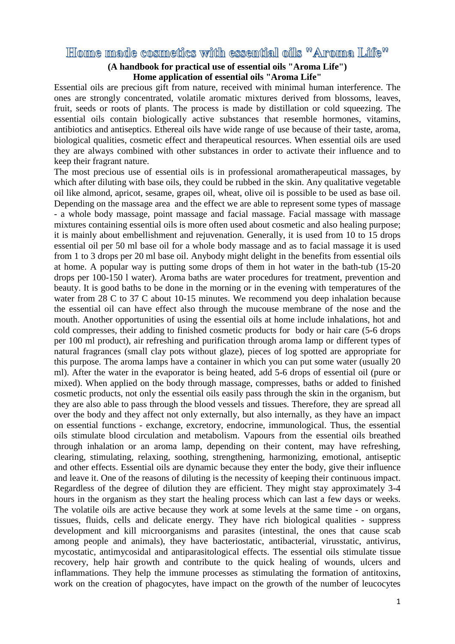# Home made cosmetics with essential oils "Aroma Life"

## **(A handbook for practical use of essential oils "Aroma Life") Home application of essential oils "Aroma Life"**

Essential oils are precious gift from nature, received with minimal human interference. The ones are strongly concentrated, volatile aromatic mixtures derived from blossoms, leaves, fruit, seeds or roots of plants. The process is made by distillation or cold squeezing. The essential oils contain biologically active substances that resemble hormones, vitamins, antibiotics and antiseptics. Ethereal oils have wide range of use because of their taste, aroma, biological qualities, cosmetic effect and therapeutical resources. When essential oils are used they are always combined with other substances in order to activate their influence and to keep their fragrant nature.

The most precious use of essential oils is in professional aromatherapeutical massages, by which after diluting with base oils, they could be rubbed in the skin. Any qualitative vegetable oil like almond, apricot, sesame, grapes oil, wheat, olive oil is possible to be used as base oil. Depending on the massage area and the effect we are able to represent some types of massage - a whole body massage, point massage and facial massage. Facial massage with massage mixtures containing essential oils is more often used about cosmetic and also healing purpose; it is mainly about embellishment and rejuvenation. Generally, it is used from 10 to 15 drops essential oil per 50 ml base oil for a whole body massage and as to facial massage it is used from 1 to 3 drops per 20 ml base oil. Anybody might delight in the benefits from essential oils at home. A popular way is putting some drops of them in hot water in the bath-tub (15-20 drops per 100-150 l water). Aroma baths are water procedures for treatment, prevention and beauty. It is good baths to be done in the morning or in the evening with temperatures of the water from 28 C to 37 C about 10-15 minutes. We recommend you deep inhalation because the essential oil can have effect also through the mucouse membrane of the nose and the mouth. Another opportunities of using the essential oils at home include inhalations, hot and cold compresses, their adding to finished cosmetic products for body or hair care (5-6 drops per 100 ml product), air refreshing and purification through aroma lamp or different types of natural fragrances (small clay pots without glaze), pieces of log spotted are appropriate for this purpose. The aroma lamps have a container in which you can put some water (usually 20 ml). After the water in the evaporator is being heated, add 5-6 drops of essential oil (pure or mixed). When applied on the body through massage, compresses, baths or added to finished cosmetic products, not only the essential oils easily pass through the skin in the organism, but they are also able to pass through the blood vessels and tissues. Therefore, they are spread all over the body and they affect not only externally, but also internally, as they have an impact on essential functions - exchange, excretory, endocrine, immunological. Thus, the essential oils stimulate blood circulation and metabolism. Vapours from the essential oils breathed through inhalation or an aroma lamp, depending on their content, may have refreshing, clearing, stimulating, relaxing, soothing, strengthening, harmonizing, emotional, antiseptic and other effects. Essential oils are dynamic because they enter the body, give their influence and leave it. One of the reasons of diluting is the necessity of keeping their continuous impact. Regardless of the degree of dilution they are efficient. They might stay approximately 3-4 hours in the organism as they start the healing process which can last a few days or weeks. The volatile oils are active because they work at some levels at the same time - on organs, tissues, fluids, cells and delicate energy. They have rich biological qualities - suppress development and kill microorganisms and parasites (intestinal, the ones that cause scab among people and animals), they have bacteriostatic, antibacterial, virusstatic, antivirus, mycostatic, antimycosidal and antiparasitological effects. The essential oils stimulate tissue recovery, help hair growth and contribute to the quick healing of wounds, ulcers and inflammations. They help the immune processes as stimulating the formation of antitoxins, work on the creation of phagocytes, have impact on the growth of the number of leucocytes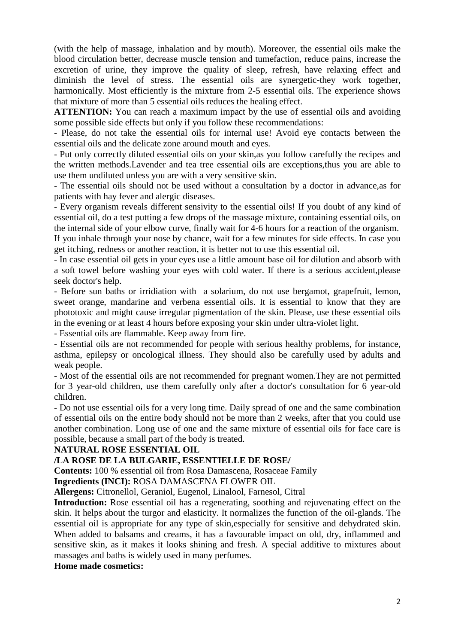(with the help of massage, inhalation and by mouth). Moreover, the essential oils make the blood circulation better, decrease muscle tension and tumefaction, reduce pains, increase the excretion of urine, they improve the quality of sleep, refresh, have relaxing effect and diminish the level of stress. The essential oils are synergetic-they work together, harmonically. Most efficiently is the mixture from 2-5 essential oils. The experience shows that mixture of more than 5 essential oils reduces the healing effect.

**ATTENTION:** You can reach a maximum impact by the use of essential oils and avoiding some possible side effects but only if you follow these recommendations:

- Please, do not take the essential oils for internal use! Avoid eye contacts between the essential oils and the delicate zone around mouth and eyes.

- Put only correctly diluted essential oils on your skin,as you follow carefully the recipes and the written methods.Lavender and tea tree essential oils are exceptions,thus you are able to use them undiluted unless you are with a very sensitive skin.

- The essential oils should not be used without a consultation by a doctor in advance,as for patients with hay fever and alergic diseases.

- Every organism reveals different sensivity to the essential oils! If you doubt of any kind of essential oil, do a test putting a few drops of the massage mixture, containing essential oils, on the internal side of your elbow curve, finally wait for 4-6 hours for a reaction of the organism. If you inhale through your nose by chance, wait for a few minutes for side effects. In case you get itching, redness or another reaction, it is better not to use this essential oil.

- In case essential oil gets in your eyes use a little amount base oil for dilution and absorb with a soft towel before washing your eyes with cold water. If there is a serious accident,please seek doctor's help.

- Before sun baths or irridiation with a solarium, do not use bergamot, grapefruit, lemon, sweet orange, mandarine and verbena essential oils. It is essential to know that they are phototoxic and might cause irregular pigmentation of the skin. Please, use these essential oils in the evening or at least 4 hours before exposing your skin under ultra-violet light.

- Essential oils are flammable. Keep away from fire.

- Essential oils are not recommended for people with serious healthy problems, for instance, asthma, epilepsy or oncological illness. They should also be carefully used by adults and weak people.

- Most of the essential oils are not recommended for pregnant women.They are not permitted for 3 year-old children, use them carefully only after a doctor's consultation for 6 year-old children.

- Do not use essential oils for a very long time. Daily spread of one and the same combination of essential oils on the entire body should not be more than 2 weeks, after that you could use another combination. Long use of one and the same mixture of essential oils for face care is possible, because a small part of the body is treated.

## **NATURAL ROSE ESSENTIAL OIL**

## **/LA ROSE DE LA BULGARIE, ESSENTIELLE DE ROSE/**

**Contents:** 100 % essential oil from Rosa Damascena, Rosaceae Family

**Ingredients (INCI):** ROSA DAMASCENA FLOWER OIL

**Allergens:** Citronellol, Geraniol, Eugenol, Linalool, Farnesol, Citral

**Introduction:** Rose essential oil has a regenerating, soothing and rejuvenating effect on the skin. It helps about the turgor and elasticity. It normalizes the function of the oil-glands. The essential oil is appropriate for any type of skin,especially for sensitive and dehydrated skin. When added to balsams and creams, it has a favourable impact on old, dry, inflammed and sensitive skin, as it makes it looks shining and fresh. A special additive to mixtures about massages and baths is widely used in many perfumes.

## **Home made cosmetics:**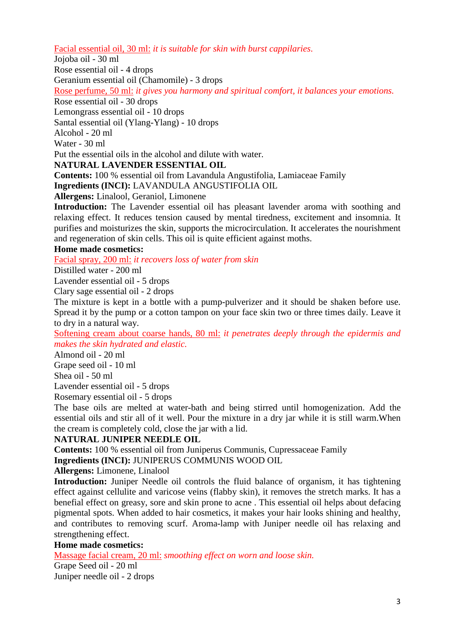Facial essential oil, 30 ml: *it is suitable for skin with burst cappilaries*.

Jojoba oil - 30 ml

Rose essential oil - 4 drops

Geranium essential oil (Chamomile) - 3 drops

Rose perfume, 50 ml: *it gives you harmony and spiritual comfort, it balances your emotions.*

Rose essential oil - 30 drops

Lemongrass essential oil - 10 drops

Santal essential oil (Ylang-Ylang) - 10 drops

Alcohol - 20 ml

Water - 30 ml

Put the essential oils in the alcohol and dilute with water.

## **NATURAL LAVENDER ESSENTIAL OIL**

**Contents:** 100 % essential oil from Lavandula Angustifolia, Lamiaceae Family **Ingredients (INCI):** LAVANDULA ANGUSTIFOLIA OIL

**Allergens:** Linalool, Geraniol, Limonene

**Introduction:** The Lavender essential oil has pleasant lavender aroma with soothing and relaxing effect. It reduces tension caused by mental tiredness, excitement and insomnia. It purifies and moisturizes the skin, supports the microcirculation. It accelerates the nourishment and regeneration of skin cells. This oil is quite efficient against moths.

## **Home made cosmetics:**

Facial spray, 200 ml: *it recovers loss of water from skin*

Distilled water - 200 ml

Lavender essential oil - 5 drops

Clary sage essential oil - 2 drops

The mixture is kept in a bottle with a pump-pulverizer and it should be shaken before use. Spread it by the pump or a cotton tampon on your face skin two or three times daily. Leave it to dry in a natural way.

Softening cream about coarse hands, 80 ml: *it penetrates deeply through the epidermis and makes the skin hydrated and elastic.*

Almond oil - 20 ml Grape seed oil - 10 ml

Shea oil - 50 ml

Lavender essential oil - 5 drops

Rosemary essential oil - 5 drops

The base oils are melted at water-bath and being stirred until homogenization. Add the essential oils and stir all of it well. Pour the mixture in a dry jar while it is still warm.When the cream is completely cold, close the jar with a lid.

## **NATURAL JUNIPER NEEDLE OIL**

**Contents:** 100 % essential oil from Juniperus Communis, Cupressaceae Family

**Ingredients (INCI):** JUNIPERUS COMMUNIS WOOD OIL

**Allergens:** Limonene, Linalool

**Introduction:** Juniper Needle oil controls the fluid balance of organism, it has tightening effect against cellulite and varicose veins (flabby skin), it removes the stretch marks. It has a benefial effect on greasy, sore and skin prone to acne . This essential oil helps about defacing pigmental spots. When added to hair cosmetics, it makes your hair looks shining and healthy, and contributes to removing scurf. Aroma-lamp with Juniper needle oil has relaxing and strengthening effect.

## **Home made cosmetics:**

Massage facial cream, 20 ml: *smoothing effect on worn and loose skin.*

Grape Seed oil - 20 ml Juniper needle oil - 2 drops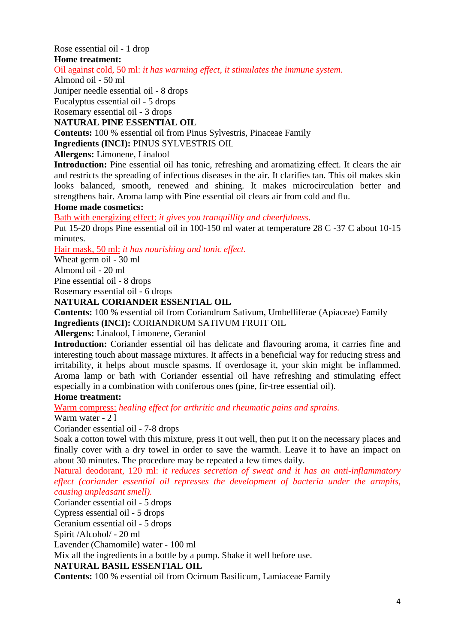Rose essential oil - 1 drop

## **Home treatment:**

Oil against cold, 50 ml: *it has warming effect, it stimulates the immune system.*

## Almond oil - 50 ml

Juniper needle essential oil - 8 drops

Eucalyptus essential oil - 5 drops

Rosemary essential oil - 3 drops

## **NATURAL PINE ESSENTIAL OIL**

**Contents:** 100 % essential oil from Pinus Sylvestris, Pinaceae Family

**Ingredients (INCI):** PINUS SYLVESTRIS OIL

**Allergens:** Limonene, Linalool

**Introduction:** Pine essential oil has tonic, refreshing and aromatizing effect. It clears the air and restricts the spreading of infectious diseases in the air. It clarifies tan. This oil makes skin looks balanced, smooth, renewed and shining. It makes microcirculation better and strengthens hair. Aroma lamp with Pine essential oil clears air from cold and flu.

## **Home made cosmetics:**

Bath with energizing effect: *it gives you tranquillity and cheerfulness*.

Put 15-20 drops Pine essential oil in 100-150 ml water at temperature 28 C -37 C about 10-15 minutes.

Hair mask, 50 ml: *it has nourishing and tonic effect.*

Wheat germ oil - 30 ml

Almond oil - 20 ml

Pine essential oil - 8 drops

Rosemary essential oil - 6 drops

## **NATURAL CORIANDER ESSENTIAL OIL**

**Contents:** 100 % essential oil from Coriandrum Sativum, Umbelliferae (Apiaceae) Family **Ingredients (INCI):** CORIANDRUM SATIVUM FRUIT OIL

**Allergens:** Linalool, Limonene, Geraniol

**Introduction:** Coriander essential oil has delicate and flavouring aroma, it carries fine and interesting touch about massage mixtures. It affects in a beneficial way for reducing stress and irritability, it helps about muscle spasms. If overdosage it, your skin might be inflammed. Aroma lamp or bath with Coriander essential oil have refreshing and stimulating effect especially in a combination with coniferous ones (pine, fir-tree essential oil).

## **Home treatment:**

Warm compress: *healing effect for arthritic and rheumatic pains and sprains.*

Warm water - 2 l

Coriander essential oil - 7-8 drops

Soak a cotton towel with this mixture, press it out well, then put it on the necessary places and finally cover with a dry towel in order to save the warmth. Leave it to have an impact on about 30 minutes. The procedure may be repeated a few times daily.

Natural deodorant, 120 ml: *it reduces secretion of sweat and it has an anti-inflammatory effect (coriander essential oil represses the development of bacteria under the armpits, causing unpleasant smell).*

Coriander essential oil - 5 drops

Cypress essential oil - 5 drops

Geranium essential oil - 5 drops

Spirit /Alcohol/ - 20 ml

Lavender (Chamomile) water - 100 ml

Mix all the ingredients in a bottle by a pump. Shake it well before use.

## **NATURAL BASIL ESSENTIAL OIL**

**Contents:** 100 % essential oil from Ocimum Basilicum, Lamiaceae Family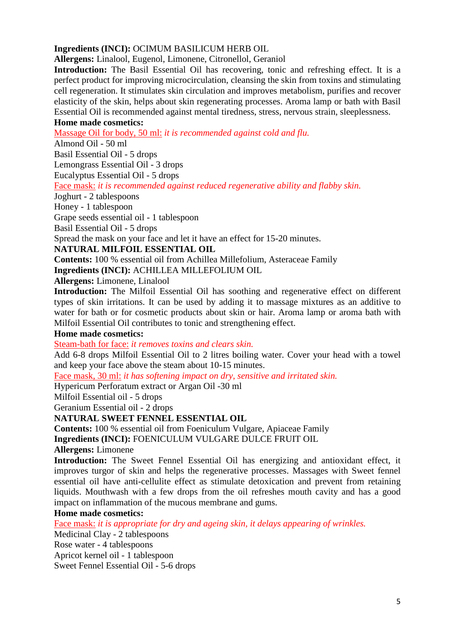## **Ingredients (INCI):** OCIMUM BASILICUM HERB OIL

**Allergens:** Linalool, Eugenol, Limonene, Citronellol, Geraniol

**Introduction:** The Basil Essential Oil has recovering, tonic and refreshing effect. It is a perfect product for improving microcirculation, cleansing the skin from toxins and stimulating cell regeneration. It stimulates skin circulation and improves metabolism, purifies and recover elasticity of the skin, helps about skin regenerating processes. Aroma lamp or bath with Basil Essential Oil is recommended against mental tiredness, stress, nervous strain, sleeplessness.

## **Home made cosmetics:**

Massage Oil for body, 50 ml: *it is recommended against cold and flu.*

Almond Oil - 50 ml

Basil Essential Oil - 5 drops

Lemongrass Essential Oil - 3 drops

Eucalyptus Essential Oil - 5 drops

#### Face mask: *it is recommended against reduced regenerative ability and flabby skin.*

Joghurt - 2 tablespoons

Honey - 1 tablespoon

Grape seeds essential oil - 1 tablespoon

Basil Essential Oil - 5 drops

Spread the mask on your face and let it have an effect for 15-20 minutes.

## **NATURAL MILFOIL ESSENTIAL OIL**

**Contents:** 100 % essential oil from Achillea Millefolium, Asteraceae Family

**Ingredients (INCI):** ACHILLEA MILLEFOLIUM OIL

**Allergens:** Limonene, Linalool

**Introduction:** The Milfoil Essential Oil has soothing and regenerative effect on different types of skin irritations. It can be used by adding it to massage mixtures as an additive to water for bath or for cosmetic products about skin or hair. Aroma lamp or aroma bath with Milfoil Essential Oil contributes to tonic and strengthening effect.

## **Home made cosmetics:**

Steam-bath for face: *it removes toxins and clears skin.*

Add 6-8 drops Milfoil Essential Oil to 2 litres boiling water. Cover your head with a towel and keep your face above the steam about 10-15 minutes.

Face mask, 30 ml: *it has softening impact on dry, sensitive and irritated skin.*

Hypericum Perforatum extract or Argan Oil -30 ml

Milfoil Essential oil - 5 drops

Geranium Essential oil - 2 drops

## **NATURAL SWEET FENNEL ESSENTIAL OIL**

**Contents:** 100 % essential oil from Foeniculum Vulgare, Apiaceae Family

**Ingredients (INCI):** FOENICULUM VULGARE DULCE FRUIT OIL

**Allergens:** Limonene

**Introduction:** The Sweet Fennel Essential Oil has energizing and antioxidant effect, it improves turgor of skin and helps the regenerative processes. Massages with Sweet fennel essential oil have anti-cellulite effect as stimulate detoxication and prevent from retaining liquids. Mouthwash with a few drops from the oil refreshes mouth cavity and has a good impact on inflammation of the mucous membrane and gums.

## **Home made cosmetics:**

Face mask: *it is appropriate for dry and ageing skin, it delays appearing of wrinkles.*

Medicinal Clay - 2 tablespoons

Rose water - 4 tablespoons

Apricot kernel oil - 1 tablespoon

Sweet Fennel Essential Oil - 5-6 drops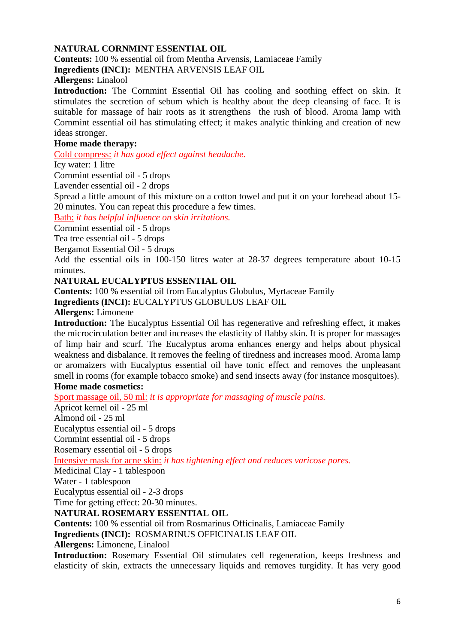## **NATURAL CORNMINT ESSENTIAL OIL**

**Contents:** 100 % essential oil from Mentha Arvensis, Lamiaceae Family

**Ingredients (INCI):** MENTHA ARVENSIS LEAF OIL

**Allergens:** Linalool

**Introduction:** The Cornmint Essential Oil has cooling and soothing effect on skin. It stimulates the secretion of sebum which is healthy about the deep cleansing of face. It is suitable for massage of hair roots as it strengthens the rush of blood. Aroma lamp with Cornmint essential oil has stimulating effect; it makes analytic thinking and creation of new ideas stronger.

## **Home made therapy:**

Cold compress: *it has good effect against headache*.

Icy water: 1 litre

Cornmint essential oil - 5 drops

Lavender essential oil - 2 drops

Spread a little amount of this mixture on a cotton towel and put it on your forehead about 15- 20 minutes. You can repeat this procedure a few times.

Bath: *it has helpful influence on skin irritations.*

Cornmint essential oil - 5 drops

Tea tree essential oil - 5 drops

Bergamot Essential Oil - 5 drops

Add the essential oils in 100-150 litres water at 28-37 degrees temperature about 10-15 minutes.

## **NATURAL EUCALYPTUS ESSENTIAL OIL**

**Contents:** 100 % essential oil from Eucalyptus Globulus, Myrtaceae Family **Ingredients (INCI):** EUCALYPTUS GLOBULUS LEAF OIL

**Allergens:** Limonene

**Introduction:** The Eucalyptus Essential Oil has regenerative and refreshing effect, it makes the microcirculation better and increases the elasticity of flabby skin. It is proper for massages of limp hair and scurf. The Eucalyptus aroma enhances energy and helps about physical weakness and disbalance. It removes the feeling of tiredness and increases mood. Aroma lamp or aromaizers with Eucalyptus essential oil have tonic effect and removes the unpleasant smell in rooms (for example tobacco smoke) and send insects away (for instance mosquitoes).

## **Home made cosmetics:**

Sport massage oil, 50 ml: *it is appropriate for massaging of muscle pains.*

Apricot kernel oil - 25 ml

Almond oil - 25 ml

Eucalyptus essential oil - 5 drops

Cornmint essential oil - 5 drops

Rosemary essential oil - 5 drops

Intensive mask for acne skin: *it has tightening effect and reduces varicose pores.*

Medicinal Clay - 1 tablespoon

Water - 1 tablespoon

Eucalyptus essential oil - 2-3 drops

Time for getting effect: 20-30 minutes.

## **NATURAL ROSEMARY ESSENTIAL OIL**

**Contents:** 100 % essential oil from Rosmarinus Officinalis, Lamiaceae Family

**Ingredients (INCI):** ROSMARINUS OFFICINALIS LEAF OIL

**Allergens:** Limonene, Linalool

**Introduction:** Rosemary Essential Oil stimulates cell regeneration, keeps freshness and elasticity of skin, extracts the unnecessary liquids and removes turgidity. It has very good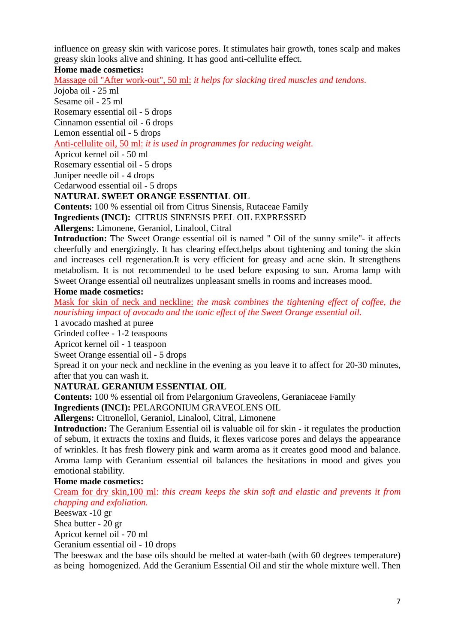influence on greasy skin with varicose pores. It stimulates hair growth, tones scalp and makes greasy skin looks alive and shining. It has good anti-cellulite effect.

## **Home made cosmetics:**

Massage oil "After work-out", 50 ml: *it helps for slacking tired muscles and tendons*.

Jojoba oil - 25 ml

Sesame oil - 25 ml

Rosemary essential oil - 5 drops

Cinnamon essential oil - 6 drops

Lemon essential oil - 5 drops

Anti-cellulite oil, 50 ml: *it is used in programmes for reducing weight*.

Apricot kernel oil - 50 ml

Rosemary essential oil - 5 drops

Juniper needle oil - 4 drops

Cedarwood essential oil - 5 drops

## **NATURAL SWEET ORANGE ESSENTIAL OIL**

**Contents:** 100 % essential oil from Citrus Sinensis, Rutaceae Family **Ingredients (INCI):** CITRUS SINENSIS PEEL OIL EXPRESSED

**Allergens:** Limonene, Geraniol, Linalool, Citral

**Introduction:** The Sweet Orange essential oil is named " Oil of the sunny smile"- it affects cheerfully and energizingly. It has clearing effect,helps about tightening and toning the skin and increases cell regeneration.It is very efficient for greasy and acne skin. It strengthens metabolism. It is not recommended to be used before exposing to sun. Aroma lamp with Sweet Orange essential oil neutralizes unpleasant smells in rooms and increases mood.

## **Home made cosmetics:**

Mask for skin of neck and neckline: *the mask combines the tightening effect of coffee, the nourishing impact of avocado and the tonic effect of the Sweet Orange essential oil.*

1 avocado mashed at puree

Grinded coffee - 1-2 teaspoons

Apricot kernel oil - 1 teaspoon

Sweet Orange essential oil - 5 drops

Spread it on your neck and neckline in the evening as you leave it to affect for 20-30 minutes, after that you can wash it.

## **NATURAL GERANIUM ESSENTIAL OIL**

**Contents:** 100 % essential oil from Pelargonium Graveolens, Geraniaceae Family

**Ingredients (INCI):** PELARGONIUM GRAVEOLENS OIL

**Allergens:** Citronellol, Geraniol, Linalool, Citral, Limonene

**Introduction:** The Geranium Essential oil is valuable oil for skin - it regulates the production of sebum, it extracts the toxins and fluids, it flexes varicose pores and delays the appearance of wrinkles. It has fresh flowery pink and warm aroma as it creates good mood and balance. Aroma lamp with Geranium essential oil balances the hesitations in mood and gives you emotional stability.

## **Home made cosmetics:**

Cream for dry skin,100 ml: *this cream keeps the skin soft and elastic and prevents it from chapping and exfoliation.*

Beeswax -10 gr

Shea butter - 20 gr

Apricot kernel oil - 70 ml

Geranium essential oil - 10 drops

The beeswax and the base oils should be melted at water-bath (with 60 degrees temperature) as being homogenized. Add the Geranium Essential Oil and stir the whole mixture well. Then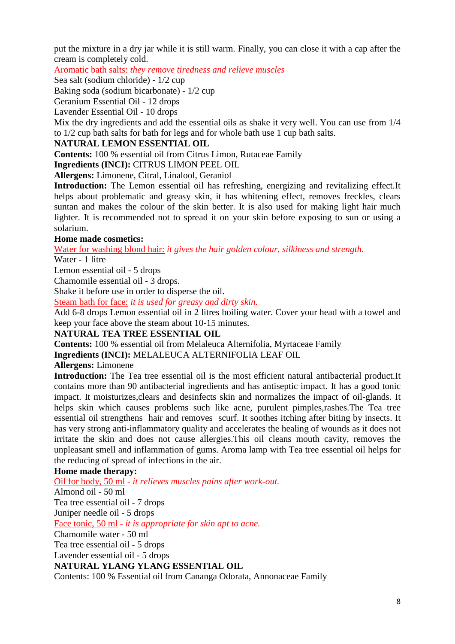put the mixture in a dry jar while it is still warm. Finally, you can close it with a cap after the cream is completely cold.

Aromatic bath salts: *they remove tiredness and relieve muscles*

Sea salt (sodium chloride) - 1/2 cup

Baking soda (sodium bicarbonate) - 1/2 cup

Geranium Essential Oil - 12 drops

Lavender Essential Oil - 10 drops

Mix the dry ingredients and add the essential oils as shake it very well. You can use from 1/4 to 1/2 cup bath salts for bath for legs and for whole bath use 1 cup bath salts.

## **NATURAL LEMON ESSENTIAL OIL**

**Contents:** 100 % essential oil from Citrus Limon, Rutaceae Family

**Ingredients (INCI):** CITRUS LIMON PEEL OIL

**Allergens:** Limonene, Citral, Linalool, Geraniol

**Introduction:** The Lemon essential oil has refreshing, energizing and revitalizing effect.It helps about problematic and greasy skin, it has whitening effect, removes freckles, clears suntan and makes the colour of the skin better. It is also used for making light hair much lighter. It is recommended not to spread it on your skin before exposing to sun or using a solarium.

## **Home made cosmetics:**

Water for washing blond hair: *it gives the hair golden colour, silkiness and strength.*

Water - 1 litre

Lemon essential oil - 5 drops

Chamomile essential oil - 3 drops.

Shake it before use in order to disperse the oil.

Steam bath for face: *it is used for greasy and dirty skin.*

Add 6-8 drops Lemon essential oil in 2 litres boiling water. Cover your head with a towel and keep your face above the steam about 10-15 minutes.

## **NATURAL TEA TREE ESSENTIAL OIL**

**Contents:** 100 % essential oil from Melaleuca Alternifolia, Myrtaceae Family

**Ingredients (INCI):** MELALEUCA ALTERNIFOLIA LEAF OIL

## **Allergens:** Limonene

**Introduction:** The Tea tree essential oil is the most efficient natural antibacterial product.It contains more than 90 antibacterial ingredients and has antiseptic impact. It has a good tonic impact. It moisturizes,clears and desinfects skin and normalizes the impact of oil-glands. It helps skin which causes problems such like acne, purulent pimples,rashes.The Tea tree essential oil strengthens hair and removes scurf. It soothes itching after biting by insects. It has very strong anti-inflammatory quality and accelerates the healing of wounds as it does not irritate the skin and does not cause allergies.This oil cleans mouth cavity, removes the unpleasant smell and inflammation of gums. Aroma lamp with Tea tree essential oil helps for the reducing of spread of infections in the air.

## **Home made therapy:**

Oil for body, 50 ml *- it relieves muscles pains after work-out.* Almond oil - 50 ml Tea tree essential oil - 7 drops Juniper needle oil - 5 drops Face tonic, 50 ml *- it is appropriate for skin apt to acne.* Chamomile water - 50 ml Tea tree essential oil - 5 drops Lavender essential oil - 5 drops **NATURAL YLANG YLANG ESSENTIAL OIL** Contents: 100 % Essential oil from Cananga Odorata, Annonaceae Family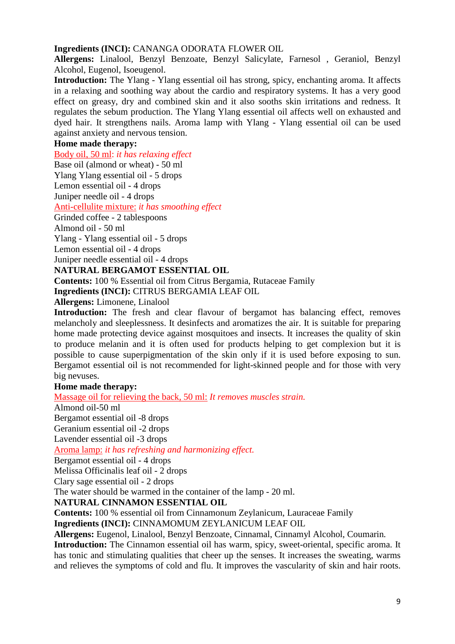## **Ingredients (INCI):** CANANGA ODORATA FLOWER OIL

**Allergens:** Linalool, Benzyl Benzoate, Benzyl Salicylate, Farnesol , Geraniol, Benzyl Alcohol, Eugenol, Isoeugenol.

**Introduction:** The Ylang - Ylang essential oil has strong, spicy, enchanting aroma. It affects in a relaxing and soothing way about the cardio and respiratory systems. It has a very good effect on greasy, dry and combined skin and it also sooths skin irritations and redness. It regulates the sebum production. The Ylang Ylang essential oil affects well on exhausted and dyed hair. It strengthens nails. Aroma lamp with Ylang - Ylang essential oil can be used against anxiety and nervous tension.

## **Home made therapy:**

Body oil, 50 ml: *it has relaxing effect*

Base oil (almond or wheat) - 50 ml

Ylang Ylang essential oil - 5 drops

Lemon essential oil - 4 drops

Juniper needle oil - 4 drops

Anti-cellulite mixture: *it has smoothing effect*

Grinded coffee - 2 tablespoons

Almond oil - 50 ml

Ylang - Ylang essential oil - 5 drops

Lemon essential oil - 4 drops

Juniper needle essential oil - 4 drops

## **NATURAL BERGAMOT ESSENTIAL OIL**

**Contents:** 100 % Essential oil from Citrus Bergamia, Rutaceae Family

**Ingredients (INCI):** CITRUS BERGAMIA LEAF OIL

**Allergens:** Limonene, Linalool

**Introduction:** The fresh and clear flavour of bergamot has balancing effect, removes melancholy and sleeplessness. It desinfects and aromatizes the air. It is suitable for preparing home made protecting device against mosquitoes and insects. It increases the quality of skin to produce melanin and it is often used for products helping to get complexion but it is possible to cause superpigmentation of the skin only if it is used before exposing to sun. Bergamot essential oil is not recommended for light-skinned people and for those with very big nevuses.

## **Home made therapy:**

Massage oil for relieving the back, 50 ml: *It removes muscles strain.*

Almond oil-50 ml

Bergamot essential oil -8 drops

Geranium essential oil -2 drops

Lavender essential oil -3 drops

Aroma lamp: *it has refreshing and harmonizing effect.*

Bergamot essential oil - 4 drops

Melissa Officinalis leaf oil - 2 drops

Clary sage essential oil - 2 drops

The water should be warmed in the container of the lamp - 20 ml.

## **NATURAL CINNAMON ESSENTIAL OIL**

**Contents:** 100 % essential oil from Cinnamonum Zeylanicum, Lauraceae Family **Ingredients (INCI):** CINNAMOMUM ZEYLANICUM LEAF OIL

**Allergens:** Eugenol, Linalool, Benzyl Benzoate, Cinnamal, Cinnamyl Alcohol, Coumarin*.*

**Introduction:** The Cinnamon essential oil has warm, spicy, sweet-oriental, specific aroma. It has tonic and stimulating qualities that cheer up the senses. It increases the sweating, warms and relieves the symptoms of cold and flu. It improves the vascularity of skin and hair roots.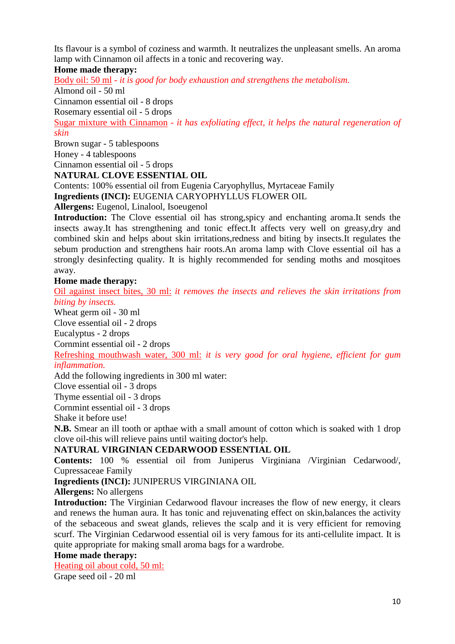Its flavour is a symbol of coziness and warmth. It neutralizes the unpleasant smells. An aroma lamp with Cinnamon oil affects in a tonic and recovering way.

## **Home made therapy:**

Body oil: 50 ml *- it is good for body exhaustion and strengthens the metabolism.*

Almond oil - 50 ml

Cinnamon essential oil - 8 drops

Rosemary essential oil - 5 drops

Sugar mixture with Cinnamon *- it has exfoliating effect, it helps the natural regeneration of skin*

Brown sugar - 5 tablespoons Honey - 4 tablespoons Cinnamon essential oil - 5 drops

**NATURAL CLOVE ESSENTIAL OIL**

Contents: 100% essential oil from Eugenia Caryophyllus, Myrtaceae Family **Ingredients (INCI):** EUGENIA CARYOPHYLLUS FLOWER OIL

**Allergens:** Eugenol, Linalool, Isoeugenol

**Introduction:** The Clove essential oil has strong,spicy and enchanting aroma.It sends the insects away.It has strengthening and tonic effect.It affects very well on greasy,dry and combined skin and helps about skin irritations,redness and biting by insects.It regulates the sebum production and strengthens hair roots.An aroma lamp with Clove essential oil has a strongly desinfecting quality. It is highly recommended for sending moths and mosqitoes away.

## **Home made therapy:**

Oil against insect bites, 30 ml: *it removes the insects and relieves the skin irritations from biting by insects.*

Wheat germ oil - 30 ml

Clove essential oil - 2 drops

Eucalyptus - 2 drops

Cornmint essential oil - 2 drops

Refreshing mouthwash water, 300 ml: *it is very good for oral hygiene, efficient for gum inflammation.*

Add the following ingredients in 300 ml water:

Clove essential oil - 3 drops

Thyme essential oil - 3 drops

Cornmint essential oil - 3 drops

Shake it before use!

**N.B.** Smear an ill tooth or apthae with a small amount of cotton which is soaked with 1 drop clove oil-this will relieve pains until waiting doctor's help.

## **NATURAL VIRGINIAN CEDARWOOD ESSENTIAL OIL**

**Contents:** 100 % essential oil from Juniperus Virginiana /Virginian Cedarwood/, Cupressaceae Family

**Ingredients (INCI):** JUNIPERUS VIRGINIANA OIL

**Allergens:** No allergens

**Introduction:** The Virginian Cedarwood flavour increases the flow of new energy, it clears and renews the human aura. It has tonic and rejuvenating effect on skin,balances the activity of the sebaceous and sweat glands, relieves the scalp and it is very efficient for removing scurf. The Virginian Cedarwood essential oil is very famous for its anti-cellulite impact. It is quite appropriate for making small aroma bags for a wardrobe.

## **Home made therapy:**

Heating oil about cold, 50 ml: Grape seed oil - 20 ml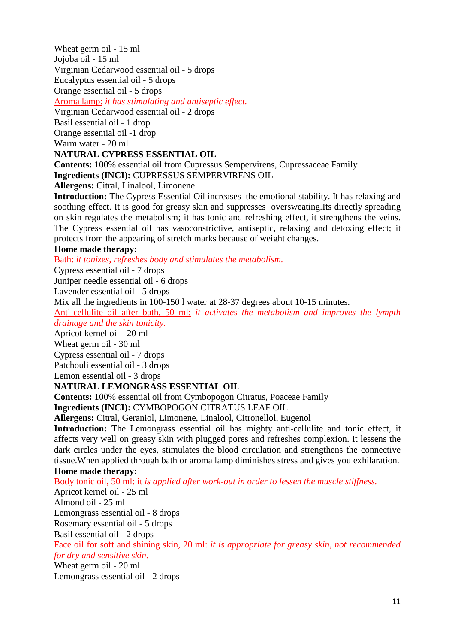Wheat germ oil - 15 ml Jojoba oil - 15 ml Virginian Cedarwood essential oil - 5 drops Eucalyptus essential oil - 5 drops

Orange essential oil - 5 drops

Aroma lamp: *it has stimulating and antiseptic effect.*

Virginian Cedarwood essential oil - 2 drops

Basil essential oil - 1 drop

Orange essential oil -1 drop

Warm water - 20 ml

## **NATURAL CYPRESS ESSENTIAL OIL**

**Contents:** 100% essential oil from Cupressus Sempervirens, Cupressaceae Family **Ingredients (INCI):** CUPRESSUS SEMPERVIRENS OIL

**Allergens:** Citral, Linalool, Limonene

**Introduction:** The Cypress Essential Oil increases the emotional stability. It has relaxing and soothing effect. It is good for greasy skin and suppresses oversweating.Its directly spreading on skin regulates the metabolism; it has tonic and refreshing effect, it strengthens the veins. The Cypress essential oil has vasoconstrictive, antiseptic, relaxing and detoxing effect; it protects from the appearing of stretch marks because of weight changes.

## **Home made therapy:**

Bath: *it tonizes, refreshes body and stimulates the metabolism.*

Cypress essential oil - 7 drops

Juniper needle essential oil - 6 drops

Lavender essential oil - 5 drops

Mix all the ingredients in 100-150 l water at 28-37 degrees about 10-15 minutes.

Anti-cellulite oil after bath, 50 ml: *it activates the metabolism and improves the lympth drainage and the skin tonicity.*

Apricot kernel oil - 20 ml

Wheat germ oil - 30 ml

Cypress essential oil - 7 drops

Patchouli essential oil - 3 drops

Lemon essential oil - 3 drops

## **NATURAL LEMONGRASS ESSENTIAL OIL**

**Contents:** 100% essential oil from Cymbopogon Citratus, Poaceae Family

**Ingredients (INCI):** CYMBOPOGON CITRATUS LEAF OIL

**Allergens:** Citral, Geraniol, Limonene, Linalool, Citronellol, Eugenol

**Introduction:** The Lemongrass essential oil has mighty anti-cellulite and tonic effect, it affects very well on greasy skin with plugged pores and refreshes complexion. It lessens the dark circles under the eyes, stimulates the blood circulation and strengthens the connective tissue.When applied through bath or aroma lamp diminishes stress and gives you exhilaration. **Home made therapy:**

Body tonic oil, 50 ml: it *is applied after work-out in order to lessen the muscle stiffness.*

Apricot kernel oil - 25 ml

Almond oil - 25 ml

Lemongrass essential oil - 8 drops

Rosemary essential oil - 5 drops

Basil essential oil - 2 drops

Face oil for soft and shining skin, 20 ml: *it is appropriate for greasy skin, not recommended for dry and sensitive skin.*

Wheat germ oil - 20 ml

Lemongrass essential oil - 2 drops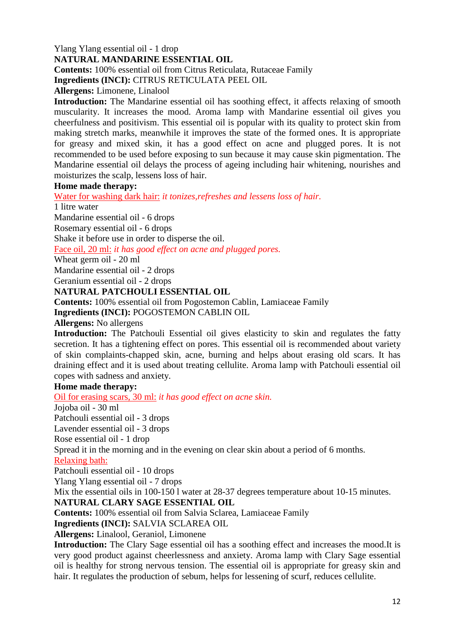## Ylang Ylang essential oil - 1 drop **NATURAL MANDARINE ESSENTIAL OIL**

**Contents:** 100% essential oil from Citrus Reticulata, Rutaceae Family

**Ingredients (INCI):** CITRUS RETICULATA PEEL OIL

**Allergens:** Limonene, Linalool

**Introduction:** The Mandarine essential oil has soothing effect, it affects relaxing of smooth muscularity. It increases the mood. Aroma lamp with Mandarine essential oil gives you cheerfulness and positivism. This essential oil is popular with its quality to protect skin from making stretch marks, meanwhile it improves the state of the formed ones. It is appropriate for greasy and mixed skin, it has a good effect on acne and plugged pores. It is not recommended to be used before exposing to sun because it may cause skin pigmentation. The Mandarine essential oil delays the process of ageing including hair whitening, nourishes and moisturizes the scalp, lessens loss of hair.

## **Home made therapy:**

Water for washing dark hair: *it tonizes,refreshes and lessens loss of hair.*

1 litre water

Mandarine essential oil - 6 drops

Rosemary essential oil - 6 drops

Shake it before use in order to disperse the oil.

Face oil, 20 ml: *it has good effect on acne and plugged pores.*

Wheat germ oil - 20 ml

Mandarine essential oil - 2 drops

Geranium essential oil - 2 drops

## **NATURAL PATCHOULI ESSENTIAL OIL**

**Contents:** 100% essential oil from Pogostemon Cablin, Lamiaceae Family **Ingredients (INCI):** POGOSTEMON CABLIN OIL

**Allergens:** No allergens

**Introduction:** The Patchouli Essential oil gives elasticity to skin and regulates the fatty secretion. It has a tightening effect on pores. This essential oil is recommended about variety of skin complaints-chapped skin, acne, burning and helps about erasing old scars. It has draining effect and it is used about treating cellulite. Aroma lamp with Patchouli essential oil copes with sadness and anxiety.

## **Home made therapy:**

Oil for erasing scars, 30 ml: *it has good effect on acne skin.*

Jojoba oil - 30 ml

Patchouli essential oil - 3 drops

Lavender essential oil - 3 drops

Rose essential oil - 1 drop

Spread it in the morning and in the evening on clear skin about a period of 6 months.

## Relaxing bath:

Patchouli essential oil - 10 drops

Ylang Ylang essential oil - 7 drops

Mix the essential oils in 100-150 l water at 28-37 degrees temperature about 10-15 minutes.

## **NATURAL CLARY SAGE ESSENTIAL OIL**

**Contents:** 100% essential oil from Salvia Sclarea, Lamiaceae Family

**Ingredients (INCI):** SALVIA SCLAREA OIL

**Allergens:** Linalool, Geraniol, Limonene

**Introduction:** The Clary Sage essential oil has a soothing effect and increases the mood.It is very good product against cheerlessness and anxiety. Aroma lamp with Clary Sage essential oil is healthy for strong nervous tension. The essential oil is appropriate for greasy skin and hair. It regulates the production of sebum, helps for lessening of scurf, reduces cellulite.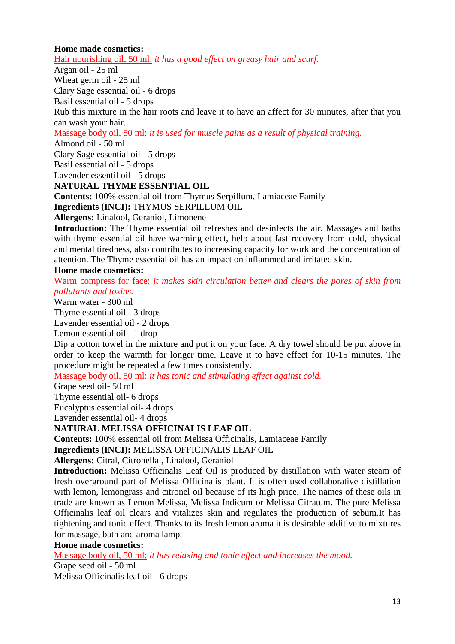## **Home made cosmetics:**

Hair nourishing oil, 50 ml: *it has a good effect on greasy hair and scurf.*

Argan oil - 25 ml

Wheat germ oil - 25 ml

Clary Sage essential oil - 6 drops

Basil essential oil - 5 drops

Rub this mixture in the hair roots and leave it to have an affect for 30 minutes, after that you can wash your hair.

Massage body oil, 50 ml: *it is used for muscle pains as a result of physical training.*

Almond oil - 50 ml

Clary Sage essential oil - 5 drops

Basil essential oil - 5 drops

Lavender essentil oil - 5 drops

**NATURAL THYME ESSENTIAL OIL**

**Contents:** 100% essential oil from Thymus Serpillum, Lamiaceae Family

**Ingredients (INCI):** THYMUS SERPILLUM OIL

**Allergens:** Linalool, Geraniol, Limonene

**Introduction:** The Thyme essential oil refreshes and desinfects the air. Massages and baths with thyme essential oil have warming effect, help about fast recovery from cold, physical and mental tiredness, also contributes to increasing capacity for work and the concentration of attention. The Thyme essential oil has an impact on inflammed and irritated skin.

## **Home made cosmetics:**

Warm compress for face: *it makes skin circulation better and clears the pores of skin from pollutants and toxins.*

Warm water - 300 ml

Thyme essential oil - 3 drops

Lavender essential oil - 2 drops

Lemon essential oil - 1 drop

Dip a cotton towel in the mixture and put it on your face. A dry towel should be put above in order to keep the warmth for longer time. Leave it to have effect for 10-15 minutes. The procedure might be repeated a few times consistently.

Massage body oil, 50 ml: *it has tonic and stimulating effect against cold.*

Grape seed oil- 50 ml

Thyme essential oil- 6 drops

Eucalyptus essential oil- 4 drops

Lavender essential oil- 4 drops

## **NATURAL MELISSA OFFICINALIS LEAF OIL**

**Contents:** 100% essential oil from Melissa Officinalis, Lamiaceae Family

**Ingredients (INCI):** MELISSA OFFICINALIS LEAF OIL

**Allergens:** Citral, Citronellal, Linalool, Geraniol

**Introduction:** Melissa Officinalis Leaf Oil is produced by distillation with water steam of fresh overground part of Melissa Officinalis plant. It is often used collaborative distillation with lemon, lemongrass and citronel oil because of its high price. The names of these oils in trade are known as Lemon Melissa, Melissa Indicum or Melissa Citratum. The pure Melissa Officinalis leaf oil clears and vitalizes skin and regulates the production of sebum.It has tightening and tonic effect. Thanks to its fresh lemon aroma it is desirable additive to mixtures for massage, bath and aroma lamp.

## **Home made cosmetics:**

Massage body oil, 50 ml: *it has relaxing and tonic effect and increases the mood.*

Grape seed oil - 50 ml Melissa Officinalis leaf oil - 6 drops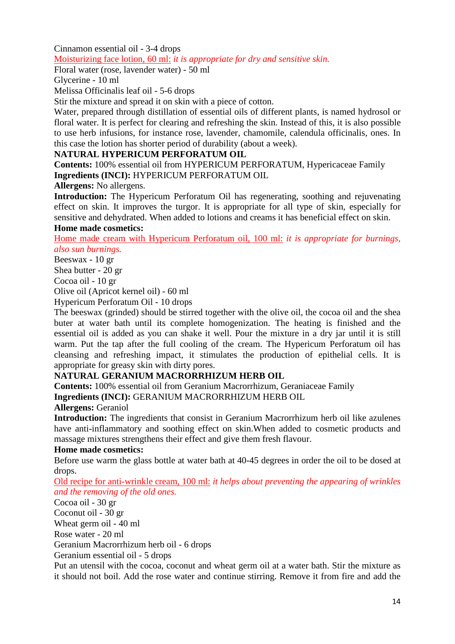#### Cinnamon essential oil - 3-4 drops Moisturizing face lotion, 60 ml: *it is appropriate for dry and sensitive skin.*

Floral water (rose, lavender water) - 50 ml

Glycerine - 10 ml

Melissa Officinalis leaf oil - 5-6 drops

Stir the mixture and spread it on skin with a piece of cotton.

Water, prepared through distillation of essential oils of different plants, is named hydrosol or floral water. It is perfect for clearing and refreshing the skin. Instead of this, it is also possible to use herb infusions, for instance rose, lavender, chamomile, calendula officinalis, ones. In this case the lotion has shorter period of durability (about a week).

## **NATURAL HYPERICUM PERFORATUM OIL**

**Contents:** 100% essential oil from HYPERICUM PERFORATUM, Hypericaceae Family **Ingredients (INCI):** HYPERICUM PERFORATUM OIL

**Allergens:** No allergens.

**Introduction:** The Hypericum Perforatum Oil has regenerating, soothing and rejuvenating effect on skin. It improves the turgor. It is appropriate for all type of skin, especially for sensitive and dehydrated. When added to lotions and creams it has beneficial effect on skin. **Home made cosmetics:**

Home made cream with Hypericum Perforatum oil, 100 ml: *it is appropriate for burnings, also sun burnings.*

Beeswax - 10 gr

Shea butter - 20 gr

Cocoa oil - 10 gr

Olive oil (Apricot kernel oil) - 60 ml

Hypericum Perforatum Oil - 10 drops

The beeswax (grinded) should be stirred together with the olive oil, the cocoa oil and the shea buter at water bath until its complete homogenization. The heating is finished and the essential oil is added as you can shake it well. Pour the mixture in a dry jar until it is still warm. Put the tap after the full cooling of the cream. The Hypericum Perforatum oil has cleansing and refreshing impact, it stimulates the production of epithelial cells. It is appropriate for greasy skin with dirty pores.

# **NATURAL GERANIUM MACRORRHIZUM HERB OIL**

**Contents:** 100% essential oil from Geranium Macrorrhizum, Geraniaceae Family **Ingredients (INCI):** GERANIUM MACRORRHIZUM HERB OIL

**Allergens:** Geraniol

**Introduction:** The ingredients that consist in Geranium Macrorrhizum herb oil like azulenes have anti-inflammatory and soothing effect on skin.When added to cosmetic products and massage mixtures strengthens their effect and give them fresh flavour.

## **Home made cosmetics:**

Before use warm the glass bottle at water bath at 40-45 degrees in order the oil to be dosed at drops.

Old recipe for anti-wrinkle cream, 100 ml: *it helps about preventing the appearing of wrinkles and the removing of the old ones.*

Cocoa oil - 30 gr

Coconut oil - 30 gr

Wheat germ oil - 40 ml

Rose water - 20 ml

Geranium Macrorrhizum herb oil - 6 drops

Geranium essential oil - 5 drops

Put an utensil with the cocoa, coconut and wheat germ oil at a water bath. Stir the mixture as it should not boil. Add the rose water and continue stirring. Remove it from fire and add the